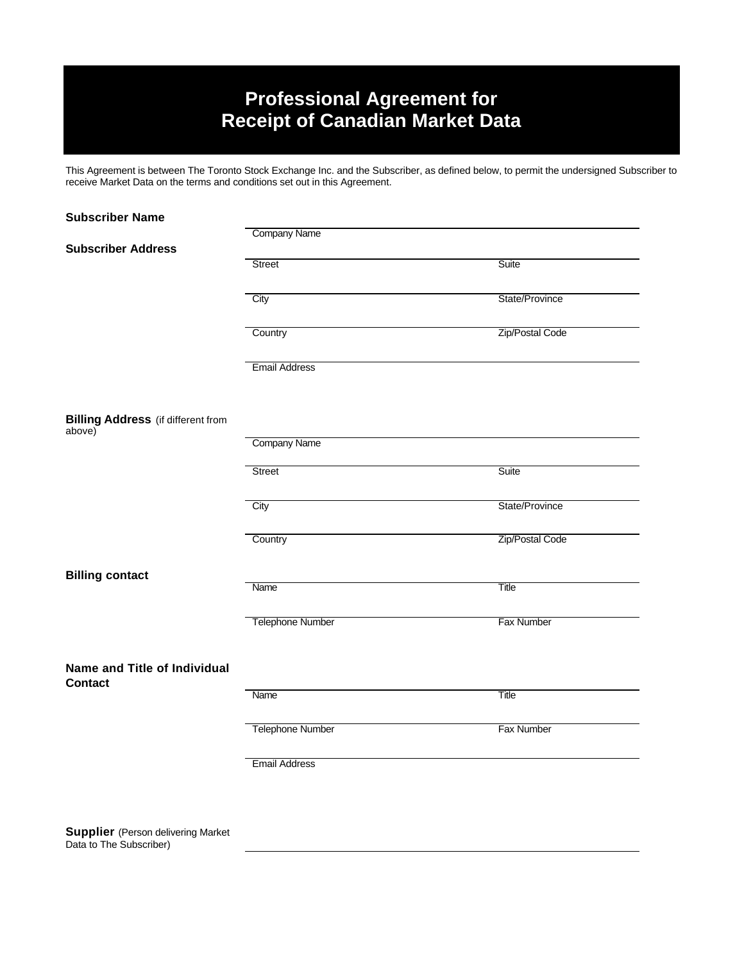# **Professional Agreement for Receipt of Canadian Market Data**

This Agreement is between The Toronto Stock Exchange Inc. and the Subscriber, as defined below, to permit the undersigned Subscriber to receive Market Data on the terms and conditions set out in this Agreement.

| <b>Subscriber Name</b>                              |                         |                   |
|-----------------------------------------------------|-------------------------|-------------------|
|                                                     | <b>Company Name</b>     |                   |
| <b>Subscriber Address</b>                           |                         |                   |
|                                                     | Street                  | Suite             |
|                                                     |                         |                   |
|                                                     | City                    | State/Province    |
|                                                     |                         |                   |
|                                                     | Country                 | Zip/Postal Code   |
|                                                     |                         |                   |
|                                                     | <b>Email Address</b>    |                   |
|                                                     |                         |                   |
|                                                     |                         |                   |
|                                                     |                         |                   |
| <b>Billing Address</b> (if different from<br>above) |                         |                   |
|                                                     | <b>Company Name</b>     |                   |
|                                                     |                         |                   |
|                                                     | Street                  | Suite             |
|                                                     |                         |                   |
|                                                     | City                    | State/Province    |
|                                                     |                         |                   |
|                                                     | Country                 | Zip/Postal Code   |
|                                                     |                         |                   |
| <b>Billing contact</b>                              |                         |                   |
|                                                     | Name                    | Title             |
|                                                     |                         |                   |
|                                                     | <b>Telephone Number</b> | Fax Number        |
|                                                     |                         |                   |
|                                                     |                         |                   |
| Name and Title of Individual                        |                         |                   |
| <b>Contact</b>                                      |                         |                   |
|                                                     | Name                    | Title             |
|                                                     |                         |                   |
|                                                     | <b>Telephone Number</b> | <b>Fax Number</b> |
|                                                     |                         |                   |
|                                                     | <b>Email Address</b>    |                   |
|                                                     |                         |                   |

**Supplier** (Person delivering Market Data to The Subscriber)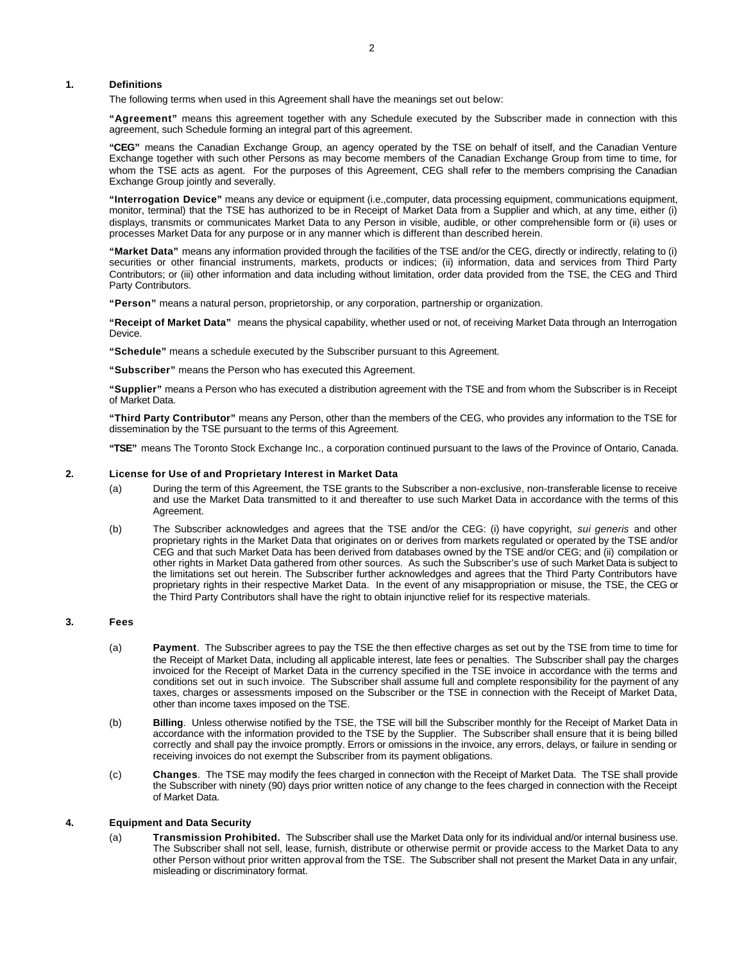## **1. Definitions**

The following terms when used in this Agreement shall have the meanings set out below:

**"Agreement"** means this agreement together with any Schedule executed by the Subscriber made in connection with this agreement, such Schedule forming an integral part of this agreement.

**"CEG"** means the Canadian Exchange Group, an agency operated by the TSE on behalf of itself, and the Canadian Venture Exchange together with such other Persons as may become members of the Canadian Exchange Group from time to time, for whom the TSE acts as agent. For the purposes of this Agreement, CEG shall refer to the members comprising the Canadian Exchange Group jointly and severally.

**"Interrogation Device"** means any device or equipment (i.e.,computer, data processing equipment, communications equipment, monitor, terminal) that the TSE has authorized to be in Receipt of Market Data from a Supplier and which, at any time, either (i) displays, transmits or communicates Market Data to any Person in visible, audible, or other comprehensible form or (ii) uses or processes Market Data for any purpose or in any manner which is different than described herein.

**"Market Data"** means any information provided through the facilities of the TSE and/or the CEG, directly or indirectly, relating to (i) securities or other financial instruments, markets, products or indices; (ii) information, data and services from Third Party Contributors; or (iii) other information and data including without limitation, order data provided from the TSE, the CEG and Third Party Contributors.

**"Person"** means a natural person, proprietorship, or any corporation, partnership or organization.

**"Receipt of Market Data"** means the physical capability, whether used or not, of receiving Market Data through an Interrogation Device.

**"Schedule"** means a schedule executed by the Subscriber pursuant to this Agreement.

**"Subscriber"** means the Person who has executed this Agreement.

**"Supplier"** means a Person who has executed a distribution agreement with the TSE and from whom the Subscriber is in Receipt of Market Data.

**"Third Party Contributor"** means any Person, other than the members of the CEG, who provides any information to the TSE for dissemination by the TSE pursuant to the terms of this Agreement.

**"TSE"** means The Toronto Stock Exchange Inc., a corporation continued pursuant to the laws of the Province of Ontario, Canada.

#### **2. License for Use of and Proprietary Interest in Market Data**

- (a) During the term of this Agreement, the TSE grants to the Subscriber a non-exclusive, non-transferable license to receive and use the Market Data transmitted to it and thereafter to use such Market Data in accordance with the terms of this Agreement.
- (b) The Subscriber acknowledges and agrees that the TSE and/or the CEG: (i) have copyright, *sui generis* and other proprietary rights in the Market Data that originates on or derives from markets regulated or operated by the TSE and/or CEG and that such Market Data has been derived from databases owned by the TSE and/or CEG; and (ii) compilation or other rights in Market Data gathered from other sources. As such the Subscriber's use of such Market Data is subject to the limitations set out herein. The Subscriber further acknowledges and agrees that the Third Party Contributors have proprietary rights in their respective Market Data. In the event of any misappropriation or misuse, the TSE, the CEG or the Third Party Contributors shall have the right to obtain injunctive relief for its respective materials.

## **3. Fees**

- (a) **Payment**. The Subscriber agrees to pay the TSE the then effective charges as set out by the TSE from time to time for the Receipt of Market Data, including all applicable interest, late fees or penalties. The Subscriber shall pay the charges invoiced for the Receipt of Market Data in the currency specified in the TSE invoice in accordance with the terms and conditions set out in such invoice. The Subscriber shall assume full and complete responsibility for the payment of any taxes, charges or assessments imposed on the Subscriber or the TSE in connection with the Receipt of Market Data, other than income taxes imposed on the TSE.
- (b) **Billing**. Unless otherwise notified by the TSE, the TSE will bill the Subscriber monthly for the Receipt of Market Data in accordance with the information provided to the TSE by the Supplier. The Subscriber shall ensure that it is being billed correctly and shall pay the invoice promptly. Errors or omissions in the invoice, any errors, delays, or failure in sending or receiving invoices do not exempt the Subscriber from its payment obligations.
- (c) **Changes**. The TSE may modify the fees charged in connection with the Receipt of Market Data. The TSE shall provide the Subscriber with ninety (90) days prior written notice of any change to the fees charged in connection with the Receipt of Market Data.

## **4. Equipment and Data Security**

(a) **Transmission Prohibited.** The Subscriber shall use the Market Data only for its individual and/or internal business use. The Subscriber shall not sell, lease, furnish, distribute or otherwise permit or provide access to the Market Data to any other Person without prior written approval from the TSE. The Subscriber shall not present the Market Data in any unfair, misleading or discriminatory format.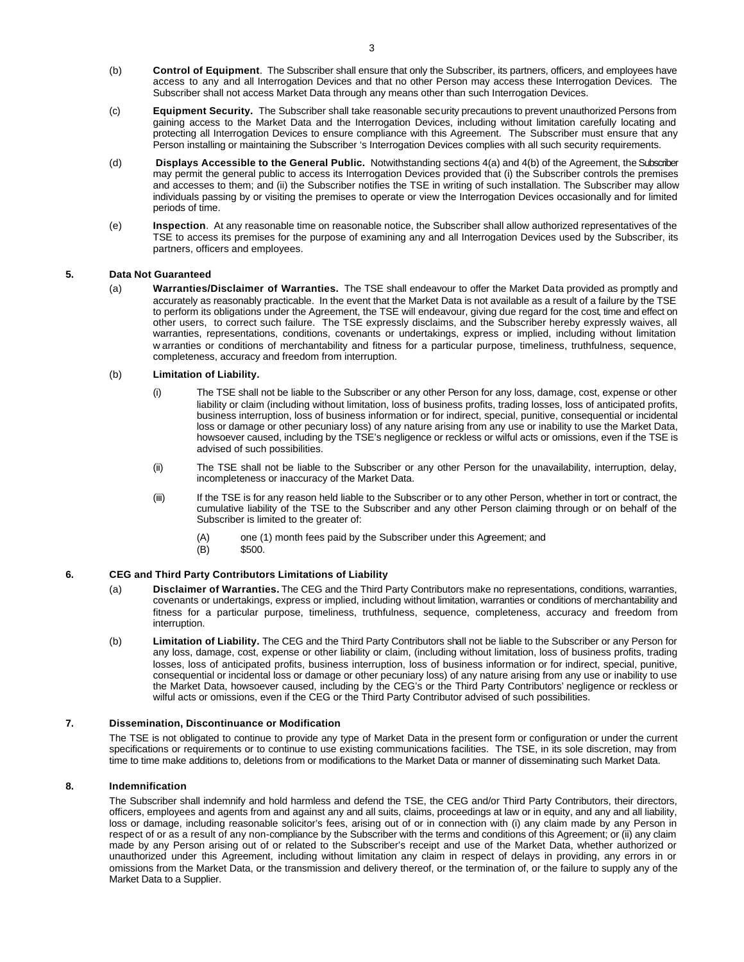- (b) **Control of Equipment**. The Subscriber shall ensure that only the Subscriber, its partners, officers, and employees have access to any and all Interrogation Devices and that no other Person may access these Interrogation Devices. The Subscriber shall not access Market Data through any means other than such Interrogation Devices.
- (c) **Equipment Security.** The Subscriber shall take reasonable security precautions to prevent unauthorized Persons from gaining access to the Market Data and the Interrogation Devices, including without limitation carefully locating and protecting all Interrogation Devices to ensure compliance with this Agreement. The Subscriber must ensure that any Person installing or maintaining the Subscriber 's Interrogation Devices complies with all such security requirements.
- (d) **Displays Accessible to the General Public.** Notwithstanding sections 4(a) and 4(b) of the Agreement, the Subscriber may permit the general public to access its Interrogation Devices provided that (i) the Subscriber controls the premises and accesses to them; and (ii) the Subscriber notifies the TSE in writing of such installation. The Subscriber may allow individuals passing by or visiting the premises to operate or view the Interrogation Devices occasionally and for limited periods of time.
- (e) **Inspection**. At any reasonable time on reasonable notice, the Subscriber shall allow authorized representatives of the TSE to access its premises for the purpose of examining any and all Interrogation Devices used by the Subscriber, its partners, officers and employees.

# **5. Data Not Guaranteed**

(a) **Warranties/Disclaimer of Warranties.** The TSE shall endeavour to offer the Market Data provided as promptly and accurately as reasonably practicable. In the event that the Market Data is not available as a result of a failure by the TSE to perform its obligations under the Agreement, the TSE will endeavour, giving due regard for the cost, time and effect on other users, to correct such failure. The TSE expressly disclaims, and the Subscriber hereby expressly waives, all warranties, representations, conditions, covenants or undertakings, express or implied, including without limitation w arranties or conditions of merchantability and fitness for a particular purpose, timeliness, truthfulness, sequence, completeness, accuracy and freedom from interruption.

## (b) **Limitation of Liability.**

- (i) The TSE shall not be liable to the Subscriber or any other Person for any loss, damage, cost, expense or other liability or claim (including without limitation, loss of business profits, trading losses, loss of anticipated profits, business interruption, loss of business information or for indirect, special, punitive, consequential or incidental loss or damage or other pecuniary loss) of any nature arising from any use or inability to use the Market Data, howsoever caused, including by the TSE's negligence or reckless or wilful acts or omissions, even if the TSE is advised of such possibilities.
- (ii) The TSE shall not be liable to the Subscriber or any other Person for the unavailability, interruption, delay, incompleteness or inaccuracy of the Market Data.
- (iii) If the TSE is for any reason held liable to the Subscriber or to any other Person, whether in tort or contract, the cumulative liability of the TSE to the Subscriber and any other Person claiming through or on behalf of the Subscriber is limited to the greater of:
	- (A) one (1) month fees paid by the Subscriber under this Agreement; and (B) \$500.
		- \$500.

# **6. CEG and Third Party Contributors Limitations of Liability**

- (a) **Disclaimer of Warranties.** The CEG and the Third Party Contributors make no representations, conditions, warranties, covenants or undertakings, express or implied, including without limitation, warranties or conditions of merchantability and fitness for a particular purpose, timeliness, truthfulness, sequence, completeness, accuracy and freedom from interruption.
- (b) **Limitation of Liability.** The CEG and the Third Party Contributors shall not be liable to the Subscriber or any Person for any loss, damage, cost, expense or other liability or claim, (including without limitation, loss of business profits, trading losses, loss of anticipated profits, business interruption, loss of business information or for indirect, special, punitive, consequential or incidental loss or damage or other pecuniary loss) of any nature arising from any use or inability to use the Market Data, howsoever caused, including by the CEG's or the Third Party Contributors' negligence or reckless or wilful acts or omissions, even if the CEG or the Third Party Contributor advised of such possibilities.

## **7. Dissemination, Discontinuance or Modification**

The TSE is not obligated to continue to provide any type of Market Data in the present form or configuration or under the current specifications or requirements or to continue to use existing communications facilities. The TSE, in its sole discretion, may from time to time make additions to, deletions from or modifications to the Market Data or manner of disseminating such Market Data.

## **8. Indemnification**

The Subscriber shall indemnify and hold harmless and defend the TSE, the CEG and/or Third Party Contributors, their directors, officers, employees and agents from and against any and all suits, claims, proceedings at law or in equity, and any and all liability, loss or damage, including reasonable solicitor's fees, arising out of or in connection with (i) any claim made by any Person in respect of or as a result of any non-compliance by the Subscriber with the terms and conditions of this Agreement; or (ii) any claim made by any Person arising out of or related to the Subscriber's receipt and use of the Market Data, whether authorized or unauthorized under this Agreement, including without limitation any claim in respect of delays in providing, any errors in or omissions from the Market Data, or the transmission and delivery thereof, or the termination of, or the failure to supply any of the Market Data to a Supplier.